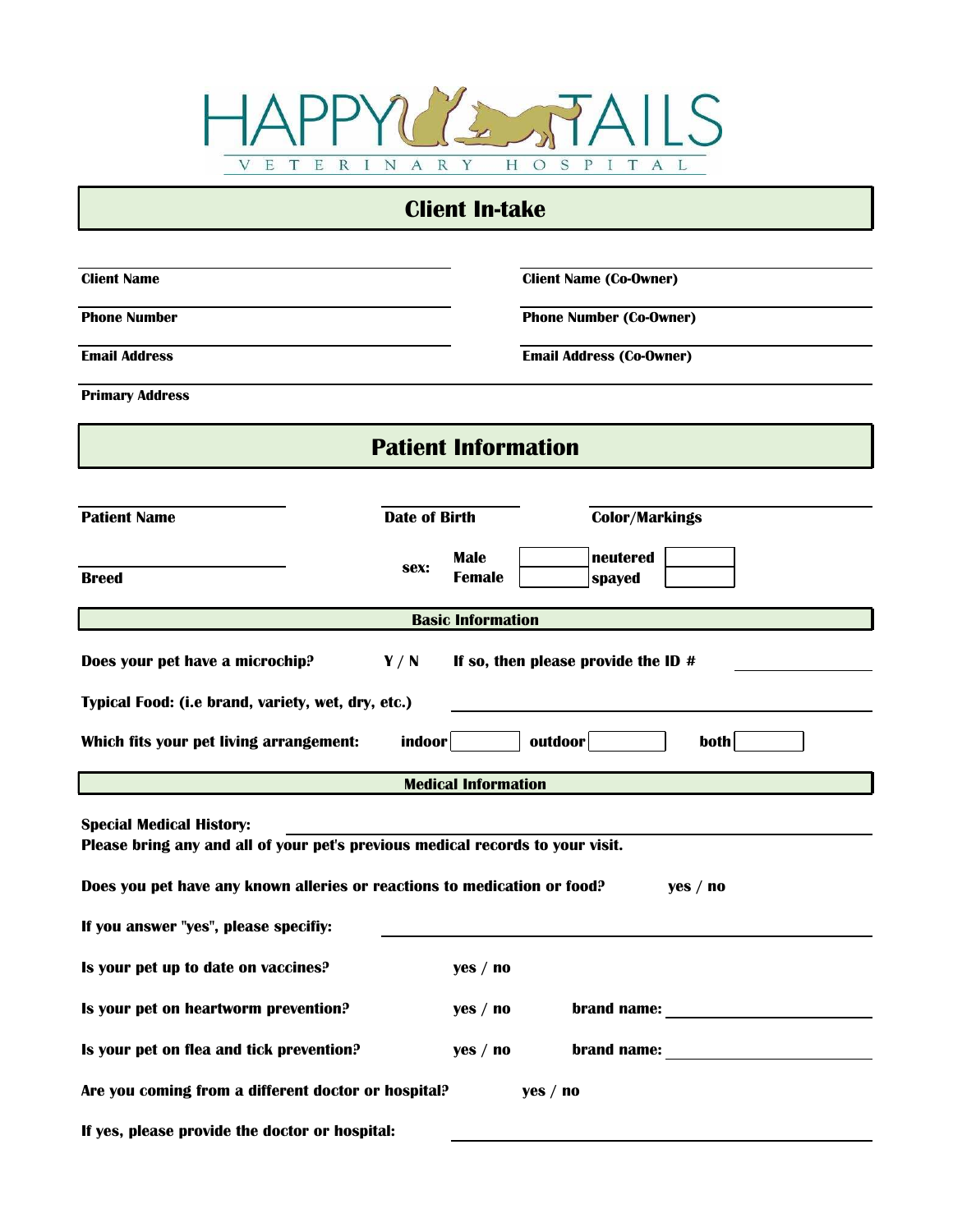

#### **Client In-take**

| <b>Client Name</b>                                                                                                                                                                                                                     |                      |                              |          | <b>Client Name (Co-Owner)</b>       |          |  |  |  |
|----------------------------------------------------------------------------------------------------------------------------------------------------------------------------------------------------------------------------------------|----------------------|------------------------------|----------|-------------------------------------|----------|--|--|--|
| <b>Phone Number</b>                                                                                                                                                                                                                    |                      |                              |          | <b>Phone Number (Co-Owner)</b>      |          |  |  |  |
| <b>Email Address</b>                                                                                                                                                                                                                   |                      |                              |          | <b>Email Address (Co-Owner)</b>     |          |  |  |  |
| <b>Primary Address</b>                                                                                                                                                                                                                 |                      |                              |          |                                     |          |  |  |  |
|                                                                                                                                                                                                                                        |                      | <b>Patient Information</b>   |          |                                     |          |  |  |  |
|                                                                                                                                                                                                                                        |                      |                              |          |                                     |          |  |  |  |
| <b>Patient Name</b>                                                                                                                                                                                                                    | <b>Date of Birth</b> |                              |          | <b>Color/Markings</b>               |          |  |  |  |
| <b>Breed</b>                                                                                                                                                                                                                           | sex:                 | <b>Male</b><br><b>Female</b> |          | neutered<br>spayed                  |          |  |  |  |
| <b>Basic Information</b>                                                                                                                                                                                                               |                      |                              |          |                                     |          |  |  |  |
| Does your pet have a microchip?                                                                                                                                                                                                        | Y/N                  |                              |          | If so, then please provide the ID # |          |  |  |  |
| Typical Food: (i.e brand, variety, wet, dry, etc.)                                                                                                                                                                                     |                      |                              |          |                                     |          |  |  |  |
| Which fits your pet living arrangement:                                                                                                                                                                                                | indoor               |                              | outdoor  |                                     | both     |  |  |  |
|                                                                                                                                                                                                                                        |                      | <b>Medical Information</b>   |          |                                     |          |  |  |  |
| <b>Special Medical History:</b><br>Please bring any and all of your pet's previous medical records to your visit.<br>Does you pet have any known alleries or reactions to medication or food?<br>If you answer "yes", please specifiy: |                      |                              |          |                                     | yes / no |  |  |  |
|                                                                                                                                                                                                                                        |                      |                              |          |                                     |          |  |  |  |
| Is your pet up to date on vaccines?                                                                                                                                                                                                    |                      | yes / no                     |          |                                     |          |  |  |  |
| Is your pet on heartworm prevention?                                                                                                                                                                                                   |                      | yes / no                     |          |                                     |          |  |  |  |
| Is your pet on flea and tick prevention?                                                                                                                                                                                               |                      | yes / no                     |          |                                     |          |  |  |  |
| Are you coming from a different doctor or hospital?                                                                                                                                                                                    |                      |                              | yes / no |                                     |          |  |  |  |
| If yes, please provide the doctor or hospital:                                                                                                                                                                                         |                      |                              |          |                                     |          |  |  |  |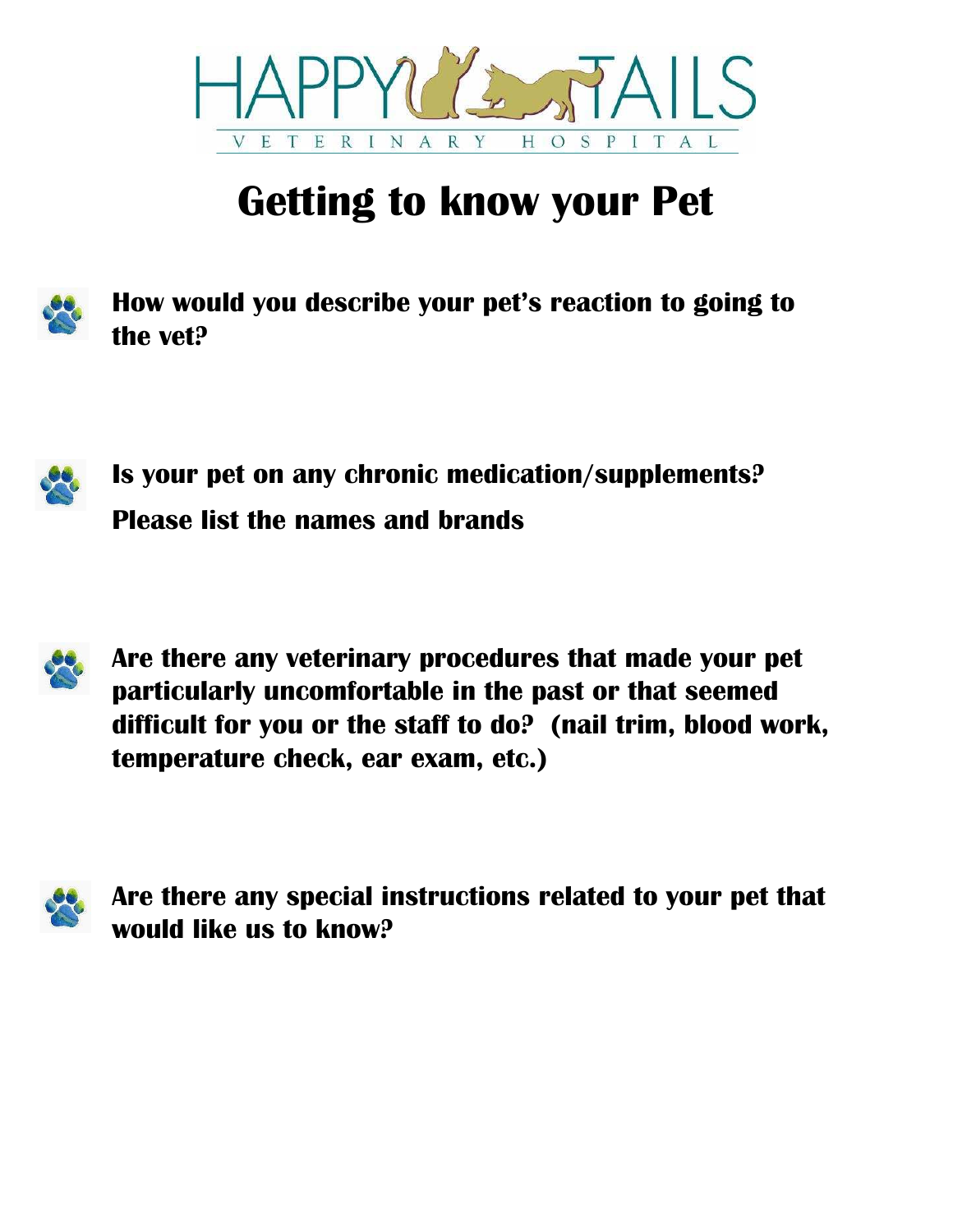

# **Getting to know your Pet**



**How would you describe your pet's reaction to going to the vet?**



**Is your pet on any chronic medication/supplements? Please list the names and brands**



**Are there any veterinary procedures that made your pet particularly uncomfortable in the past or that seemed difficult for you or the staff to do? (nail trim, blood work, temperature check, ear exam, etc.)**



**Are there any special instructions related to your pet that would like us to know?**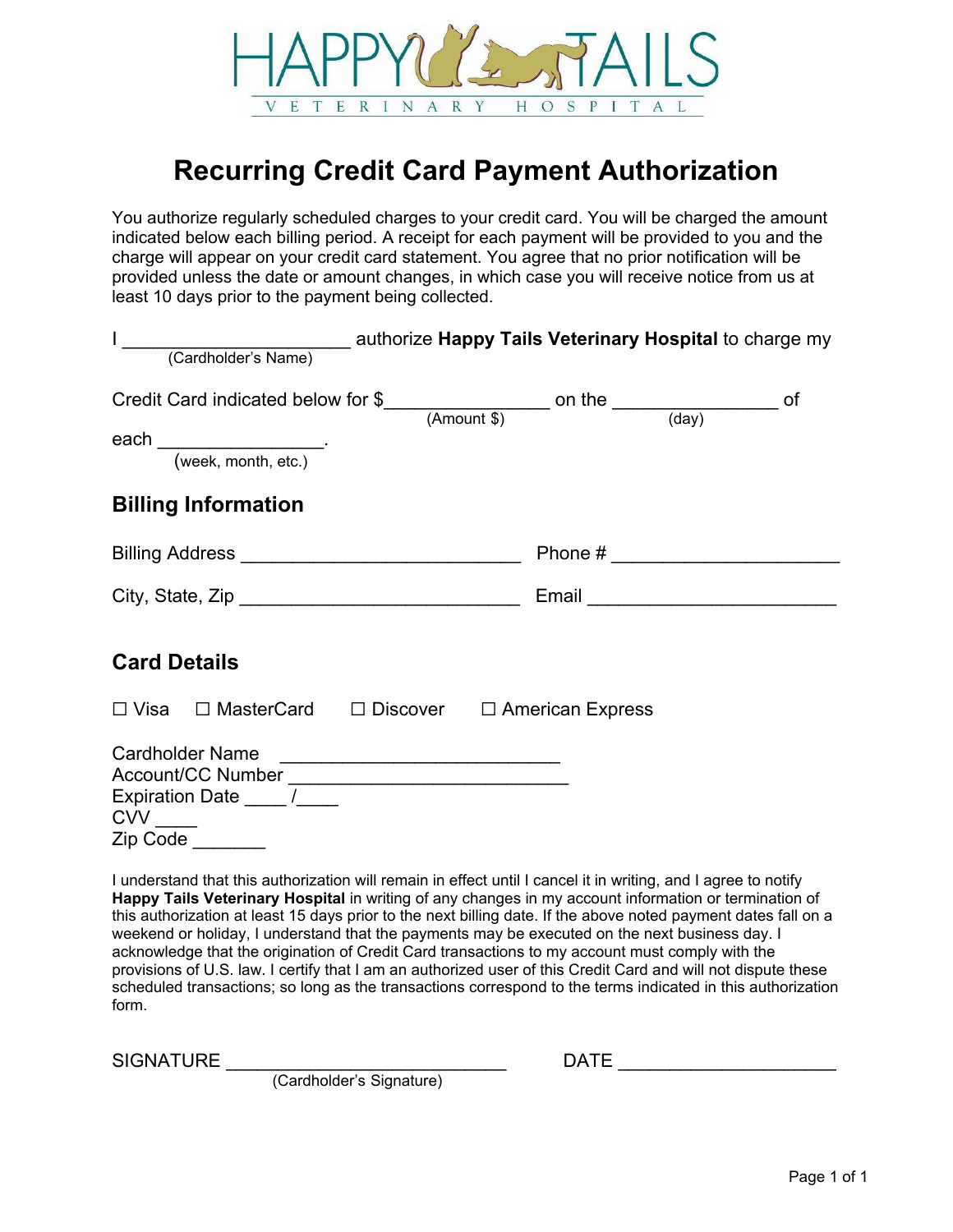

### **Recurring Credit Card Payment Authorization**

You authorize regularly scheduled charges to your credit card. You will be charged the amount indicated below each billing period. A receipt for each payment will be provided to you and the charge will appear on your credit card statement. You agree that no prior notification will be provided unless the date or amount changes, in which case you will receive notice from us at least 10 days prior to the payment being collected.

| Credit Card indicated below for $\frac{1}{2}$ (Amount \$) on the $\frac{1}{\frac{1}{2}(\text{day})}$ of                             |  |
|-------------------------------------------------------------------------------------------------------------------------------------|--|
|                                                                                                                                     |  |
|                                                                                                                                     |  |
| <b>Billing Information</b>                                                                                                          |  |
| Phone # ___________________________<br>Billing Address _________________________________                                            |  |
|                                                                                                                                     |  |
| <b>Card Details</b>                                                                                                                 |  |
| $\Box$ Visa $\Box$ MasterCard $\Box$ Discover $\Box$ American Express                                                               |  |
| Cardholder Name<br>Account/CC Number ________________________________<br>Expiration Date _____ /_____<br>$CVV$ $\qquad$<br>Zip Code |  |

I understand that this authorization will remain in effect until I cancel it in writing, and I agree to notify **Happy Tails Veterinary Hospital** in writing of any changes in my account information or termination of this authorization at least 15 days prior to the next billing date. If the above noted payment dates fall on a weekend or holiday, I understand that the payments may be executed on the next business day. I acknowledge that the origination of Credit Card transactions to my account must comply with the provisions of U.S. law. I certify that I am an authorized user of this Credit Card and will not dispute these scheduled transactions; so long as the transactions correspond to the terms indicated in this authorization form.

SIGNATURE \_\_\_\_\_\_\_\_\_\_\_\_\_\_\_\_\_\_\_\_\_\_\_\_\_\_\_\_\_\_ DATE \_\_\_\_\_\_\_\_\_\_\_\_\_\_\_\_\_\_\_\_\_\_\_\_\_\_\_\_\_\_\_\_

(Cardholder's Signature)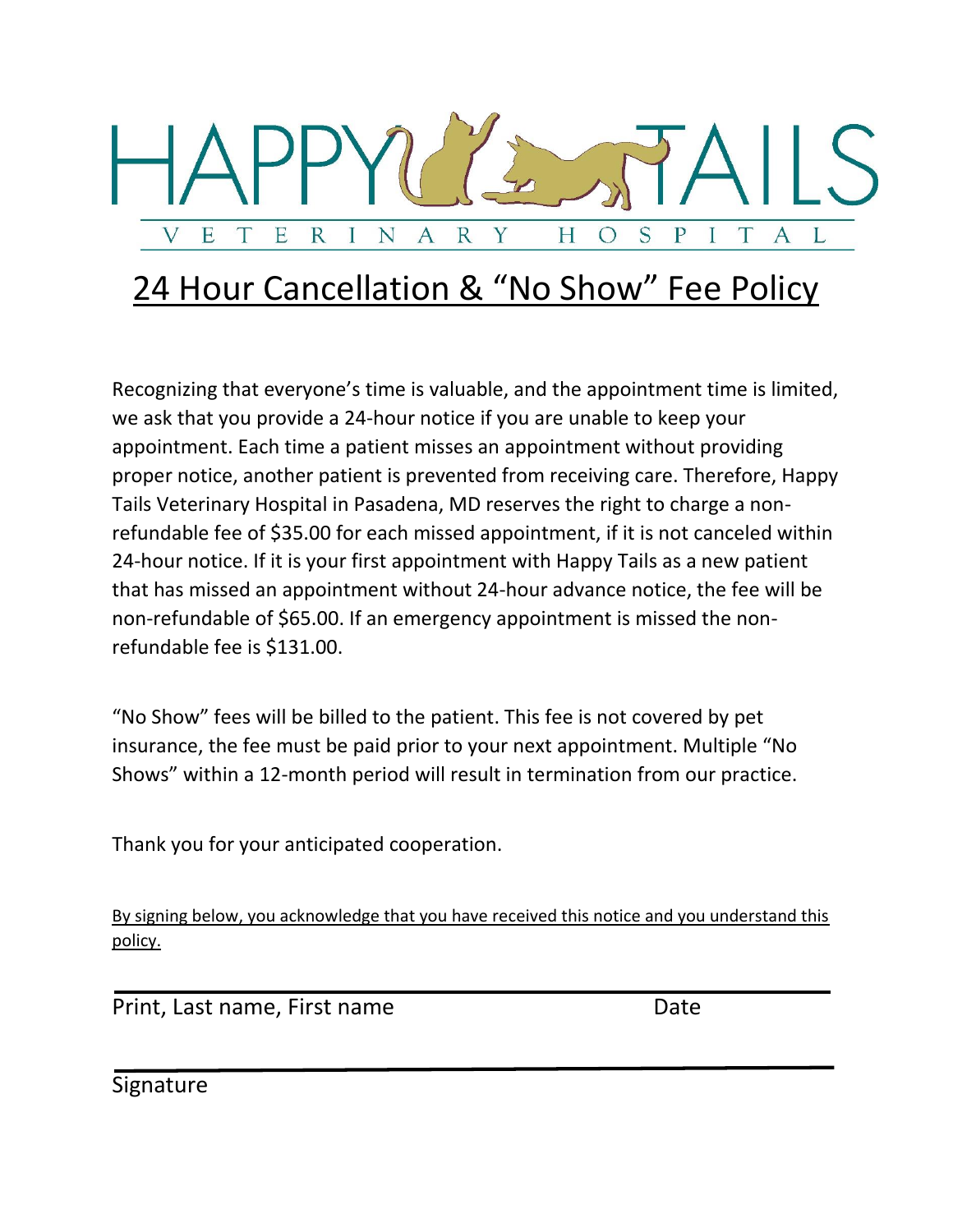

## 24 Hour Cancellation & "No Show" Fee Policy

Recognizing that everyone's time is valuable, and the appointment time is limited, we ask that you provide a 24-hour notice if you are unable to keep your appointment. Each time a patient misses an appointment without providing proper notice, another patient is prevented from receiving care. Therefore, Happy Tails Veterinary Hospital in Pasadena, MD reserves the right to charge a nonrefundable fee of \$35.00 for each missed appointment, if it is not canceled within 24-hour notice. If it is your first appointment with Happy Tails as a new patient that has missed an appointment without 24-hour advance notice, the fee will be non-refundable of \$65.00. If an emergency appointment is missed the nonrefundable fee is \$131.00.

"No Show" fees will be billed to the patient. This fee is not covered by pet insurance, the fee must be paid prior to your next appointment. Multiple "No Shows" within a 12-month period will result in termination from our practice.

Thank you for your anticipated cooperation.

By signing below, you acknowledge that you have received this notice and you understand this policy.

Print, Last name, First name Date

Signature